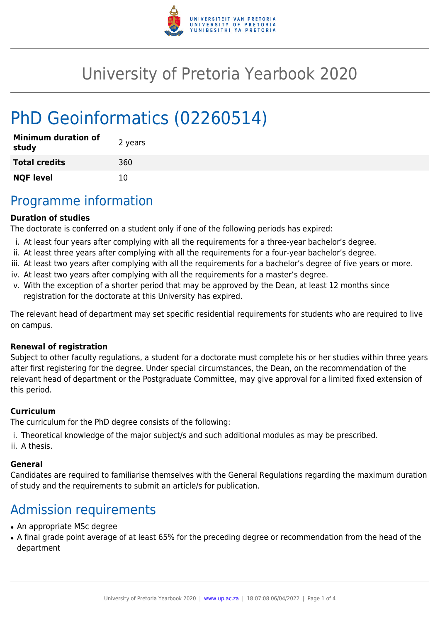

# University of Pretoria Yearbook 2020

# PhD Geoinformatics (02260514)

| <b>Minimum duration of</b><br>study | 2 years |
|-------------------------------------|---------|
| <b>Total credits</b>                | 360     |
| <b>NQF level</b>                    | 10      |

### Programme information

#### **Duration of studies**

The doctorate is conferred on a student only if one of the following periods has expired:

- i. At least four years after complying with all the requirements for a three-year bachelor's degree.
- ii. At least three years after complying with all the requirements for a four-year bachelor's degree.
- iii. At least two years after complying with all the requirements for a bachelor's degree of five years or more.
- iv. At least two years after complying with all the requirements for a master's degree.
- v. With the exception of a shorter period that may be approved by the Dean, at least 12 months since registration for the doctorate at this University has expired.

The relevant head of department may set specific residential requirements for students who are required to live on campus.

#### **Renewal of registration**

Subject to other faculty regulations, a student for a doctorate must complete his or her studies within three years after first registering for the degree. Under special circumstances, the Dean, on the recommendation of the relevant head of department or the Postgraduate Committee, may give approval for a limited fixed extension of this period.

#### **Curriculum**

The curriculum for the PhD degree consists of the following:

- i. Theoretical knowledge of the major subject/s and such additional modules as may be prescribed.
- ii. A thesis.

#### **General**

Candidates are required to familiarise themselves with the General Regulations regarding the maximum duration of study and the requirements to submit an article/s for publication.

# Admission requirements

- An appropriate MSc degree
- A final grade point average of at least 65% for the preceding degree or recommendation from the head of the department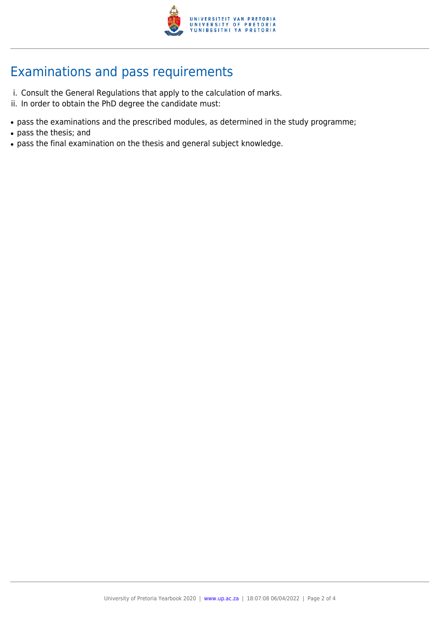

# Examinations and pass requirements

- i. Consult the General Regulations that apply to the calculation of marks.
- ii. In order to obtain the PhD degree the candidate must:
- pass the examinations and the prescribed modules, as determined in the study programme;
- pass the thesis; and
- pass the final examination on the thesis and general subject knowledge.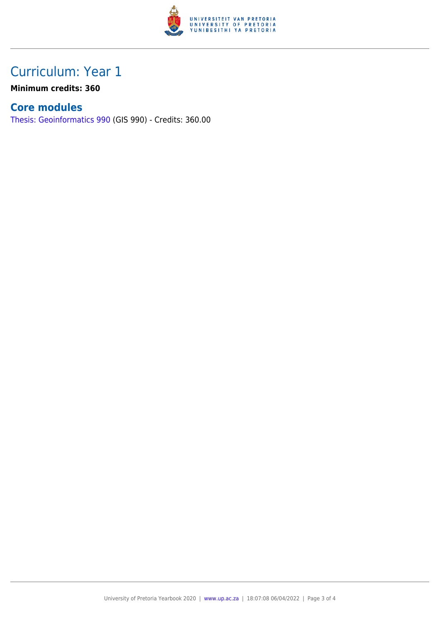

## Curriculum: Year 1

**Minimum credits: 360**

### **Core modules**

[Thesis: Geoinformatics 990](https://www.up.ac.za/faculty-of-education/yearbooks/2020/modules/view/GIS 990) (GIS 990) - Credits: 360.00